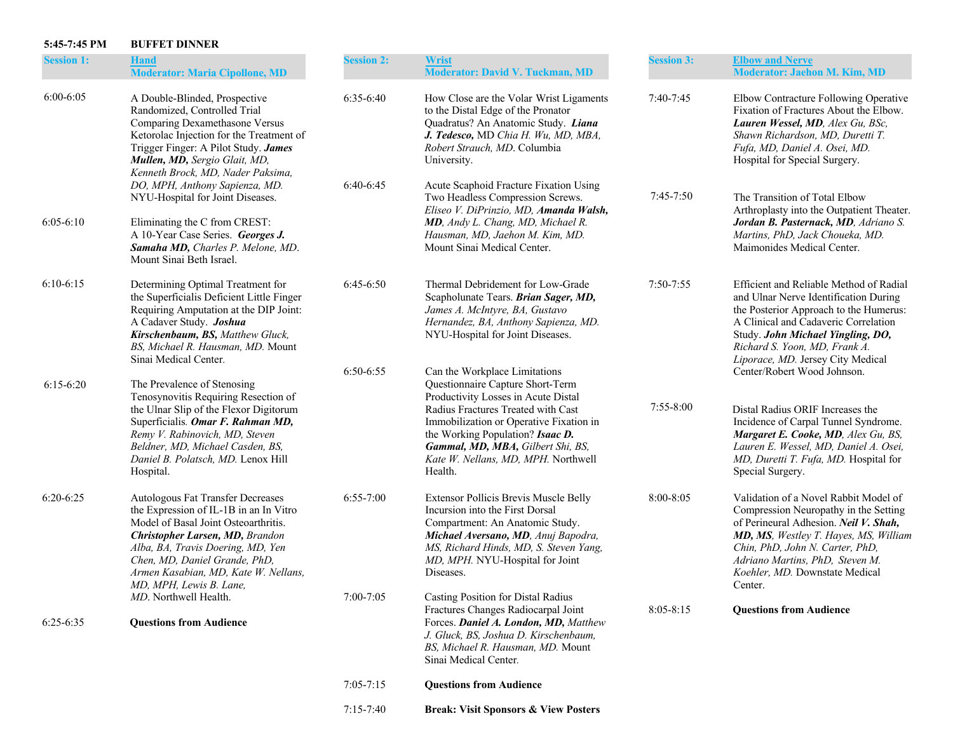## **5:45-7:45 PM BUFFET DINNER**

| <b>Session 1:</b> | <b>Hand</b><br><b>Moderator: Maria Cipollone, MD</b>                                                                                                                                                                                                                                            | <b>Session 2:</b> | <b>Wrist</b><br><b>Moderator: David V. Tuckman, MD</b>                                                                                                                                                                                          | <b>Session 3:</b> | <b>Elbow and Nerve</b><br>Moderator: Jaehon M. Kim, MD                                                                                                                                                                                                                              |
|-------------------|-------------------------------------------------------------------------------------------------------------------------------------------------------------------------------------------------------------------------------------------------------------------------------------------------|-------------------|-------------------------------------------------------------------------------------------------------------------------------------------------------------------------------------------------------------------------------------------------|-------------------|-------------------------------------------------------------------------------------------------------------------------------------------------------------------------------------------------------------------------------------------------------------------------------------|
| $6:00 - 6:05$     | A Double-Blinded, Prospective<br>Randomized, Controlled Trial<br>Comparing Dexamethasone Versus<br>Ketorolac Injection for the Treatment of<br>Trigger Finger: A Pilot Study. James<br>Mullen, MD, Sergio Glait, MD,<br>Kenneth Brock, MD, Nader Paksima,                                       | $6:35-6:40$       | How Close are the Volar Wrist Ligaments<br>to the Distal Edge of the Pronator<br>Quadratus? An Anatomic Study. Liana<br>J. Tedesco, MD Chia H. Wu, MD, MBA,<br>Robert Strauch, MD. Columbia<br>University.                                      | $7:40-7:45$       | Elbow Contracture Following Operative<br>Fixation of Fractures About the Elbow.<br>Lauren Wessel, MD, Alex Gu, BSc,<br>Shawn Richardson, MD, Duretti T.<br>Fufa, MD, Daniel A. Osei, MD.<br>Hospital for Special Surgery.                                                           |
|                   | DO, MPH, Anthony Sapienza, MD.<br>NYU-Hospital for Joint Diseases.                                                                                                                                                                                                                              | $6:40-6:45$       | Acute Scaphoid Fracture Fixation Using<br>Two Headless Compression Screws.                                                                                                                                                                      | $7:45-7:50$       | The Transition of Total Elbow                                                                                                                                                                                                                                                       |
| $6:05-6:10$       | Eliminating the C from CREST:<br>A 10-Year Case Series. Georges J.<br>Samaha MD, Charles P. Melone, MD.<br>Mount Sinai Beth Israel.                                                                                                                                                             |                   | Eliseo V. DiPrinzio, MD, Amanda Walsh,<br>MD, Andy L. Chang, MD, Michael R.<br>Hausman, MD, Jaehon M. Kim, MD.<br>Mount Sinai Medical Center.                                                                                                   |                   | Arthroplasty into the Outpatient Theater.<br>Jordan B. Pasternack, MD, Adriano S.<br>Martins, PhD, Jack Choueka, MD.<br>Maimonides Medical Center.                                                                                                                                  |
| $6:10-6:15$       | Determining Optimal Treatment for<br>the Superficialis Deficient Little Finger<br>Requiring Amputation at the DIP Joint:<br>A Cadaver Study. Joshua<br>Kirschenbaum, BS, Matthew Gluck,<br>BS, Michael R. Hausman, MD. Mount<br>Sinai Medical Center.                                           | $6:45-6:50$       | Thermal Debridement for Low-Grade<br>Scapholunate Tears. Brian Sager, MD,<br>James A. McIntyre, BA, Gustavo<br>Hernandez, BA, Anthony Sapienza, MD.<br>NYU-Hospital for Joint Diseases.                                                         | $7:50 - 7:55$     | Efficient and Reliable Method of Radial<br>and Ulnar Nerve Identification During<br>the Posterior Approach to the Humerus:<br>A Clinical and Cadaveric Correlation<br>Study. John Michael Yingling, DO,<br>Richard S. Yoon, MD, Frank A.<br>Liporace, MD. Jersey City Medical       |
| $6:15-6:20$       | The Prevalence of Stenosing                                                                                                                                                                                                                                                                     | $6:50-6:55$       | Can the Workplace Limitations<br>Questionnaire Capture Short-Term                                                                                                                                                                               |                   | Center/Robert Wood Johnson.                                                                                                                                                                                                                                                         |
|                   | Tenosynovitis Requiring Resection of<br>the Ulnar Slip of the Flexor Digitorum<br>Superficialis. Omar F. Rahman MD,<br>Remy V. Rabinovich, MD, Steven<br>Beldner, MD, Michael Casden, BS,<br>Daniel B. Polatsch, MD. Lenox Hill<br>Hospital.                                                    |                   | Productivity Losses in Acute Distal<br>Radius Fractures Treated with Cast<br>Immobilization or Operative Fixation in<br>the Working Population? Isaac D.<br>Gammal, MD, MBA, Gilbert Shi, BS,<br>Kate W. Nellans, MD, MPH. Northwell<br>Health. | $7:55 - 8:00$     | Distal Radius ORIF Increases the<br>Incidence of Carpal Tunnel Syndrome.<br>Margaret E. Cooke, MD, Alex Gu, BS,<br>Lauren E. Wessel, MD, Daniel A. Osei,<br>MD, Duretti T. Fufa, MD. Hospital for<br>Special Surgery.                                                               |
| $6:20-6:25$       | Autologous Fat Transfer Decreases<br>the Expression of IL-1B in an In Vitro<br>Model of Basal Joint Osteoarthritis.<br>Christopher Larsen, MD, Brandon<br>Alba, BA, Travis Doering, MD, Yen<br>Chen, MD, Daniel Grande, PhD,<br>Armen Kasabian, MD, Kate W. Nellans,<br>MD, MPH, Lewis B. Lane, | $6:55-7:00$       | Extensor Pollicis Brevis Muscle Belly<br>Incursion into the First Dorsal<br>Compartment: An Anatomic Study.<br>Michael Aversano, MD, Anuj Bapodra,<br>MS, Richard Hinds, MD, S. Steven Yang,<br>MD, MPH. NYU-Hospital for Joint<br>Diseases.    | 8:00-8:05         | Validation of a Novel Rabbit Model of<br>Compression Neuropathy in the Setting<br>of Perineural Adhesion. Neil V. Shah,<br>MD, MS, Westley T. Hayes, MS, William<br>Chin, PhD, John N. Carter, PhD,<br>Adriano Martins, PhD, Steven M.<br>Koehler, MD. Downstate Medical<br>Center. |
|                   | <i>MD</i> . Northwell Health.                                                                                                                                                                                                                                                                   | 7:00-7:05         | Casting Position for Distal Radius<br>Fractures Changes Radiocarpal Joint                                                                                                                                                                       | $8:05 - 8:15$     | <b>Questions from Audience</b>                                                                                                                                                                                                                                                      |
| $6:25-6:35$       | <b>Questions from Audience</b>                                                                                                                                                                                                                                                                  |                   | Forces. Daniel A. London, MD, Matthew<br>J. Gluck, BS, Joshua D. Kirschenbaum,<br>BS, Michael R. Hausman, MD. Mount<br>Sinai Medical Center.                                                                                                    |                   |                                                                                                                                                                                                                                                                                     |
|                   |                                                                                                                                                                                                                                                                                                 | $7:05 - 7:15$     | <b>Questions from Audience</b>                                                                                                                                                                                                                  |                   |                                                                                                                                                                                                                                                                                     |
|                   |                                                                                                                                                                                                                                                                                                 | $7:15-7:40$       | <b>Break: Visit Sponsors &amp; View Posters</b>                                                                                                                                                                                                 |                   |                                                                                                                                                                                                                                                                                     |